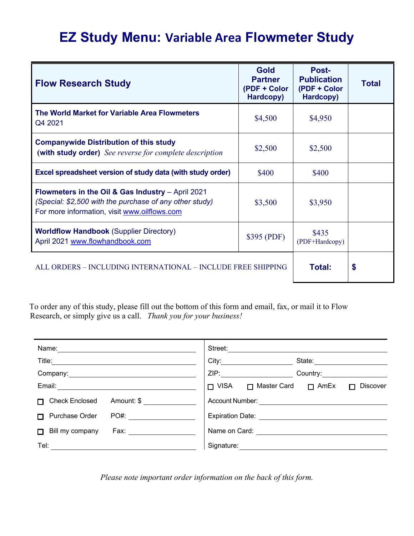# **EZ Study Menu: Variable Area Flowmeter Study**

| <b>Flow Research Study</b>                                                                                                                                   | <b>Gold</b><br><b>Partner</b><br>(PDF + Color<br>Hardcopy) | Post-<br><b>Publication</b><br>(PDF + Color<br>Hardcopy) | <b>Total</b> |
|--------------------------------------------------------------------------------------------------------------------------------------------------------------|------------------------------------------------------------|----------------------------------------------------------|--------------|
| The World Market for Variable Area Flowmeters<br>Q4 2021                                                                                                     | \$4,500                                                    | \$4,950                                                  |              |
| <b>Companywide Distribution of this study</b><br>(with study order) See reverse for complete description                                                     | \$2,500                                                    | \$2,500                                                  |              |
| Excel spreadsheet version of study data (with study order)                                                                                                   | \$400                                                      | \$400                                                    |              |
| Flowmeters in the Oil & Gas Industry - April 2021<br>(Special: \$2,500 with the purchase of any other study)<br>For more information, visit www.oilflows.com | \$3,500                                                    | \$3,950                                                  |              |
| <b>Worldflow Handbook (Supplier Directory)</b><br>April 2021 www.flowhandbook.com                                                                            | \$395 (PDF)                                                | \$435<br>(PDF+Hardcopy)                                  |              |
| ALL ORDERS - INCLUDING INTERNATIONAL - INCLUDE FREE SHIPPING                                                                                                 |                                                            | Total:                                                   | \$           |

 To order any of this study, please fill out the bottom of this form and email, fax, or mail it to Flow Research, or simply give us a call. *Thank you for your business!* 

| Name:                                                | Street:                                                             |
|------------------------------------------------------|---------------------------------------------------------------------|
| Title:                                               | City:<br>State:                                                     |
| Company:                                             | ZIP:<br>Country:                                                    |
| Email:                                               | $\Box$ VISA<br>□ Master Card<br>$\Box$ AmEx<br><b>Discover</b><br>П |
| <b>Check Enclosed</b><br>Amount: \$<br>П.            | Account Number:                                                     |
| Purchase Order<br>PO#:<br>п                          | <b>Expiration Date:</b>                                             |
| Bill my company<br>Fax: $\qquad \qquad \qquad$<br>П. | Name on Card:                                                       |
| Tel:                                                 | Signature:                                                          |

*Please note important order information on the back of this form.*